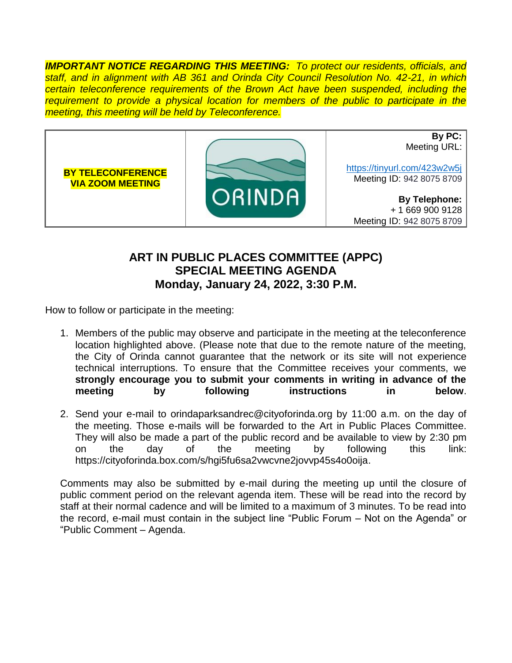*IMPORTANT NOTICE REGARDING THIS MEETING: To protect our residents, officials, and staff, and in alignment with AB 361 and Orinda City Council Resolution No. 42-21, in which certain teleconference requirements of the Brown Act have been suspended, including the requirement to provide a physical location for members of the public to participate in the meeting, this meeting will be held by Teleconference.*



## **ART IN PUBLIC PLACES COMMITTEE (APPC) SPECIAL MEETING AGENDA Monday, January 24, 2022, 3:30 P.M.**

How to follow or participate in the meeting:

- 1. Members of the public may observe and participate in the meeting at the teleconference location highlighted above. (Please note that due to the remote nature of the meeting, the City of Orinda cannot guarantee that the network or its site will not experience technical interruptions. To ensure that the Committee receives your comments, we **strongly encourage you to submit your comments in writing in advance of the meeting by following instructions in below**.
- 2. Send your e-mail to orindaparksandrec@cityoforinda.org by 11:00 a.m. on the day of the meeting. Those e-mails will be forwarded to the Art in Public Places Committee. They will also be made a part of the public record and be available to view by 2:30 pm on the day of the meeting by following this link: https://cityoforinda.box.com/s/hgi5fu6sa2vwcvne2jovvp45s4o0oija.

Comments may also be submitted by e-mail during the meeting up until the closure of public comment period on the relevant agenda item. These will be read into the record by staff at their normal cadence and will be limited to a maximum of 3 minutes. To be read into the record, e-mail must contain in the subject line "Public Forum – Not on the Agenda" or "Public Comment – Agenda.